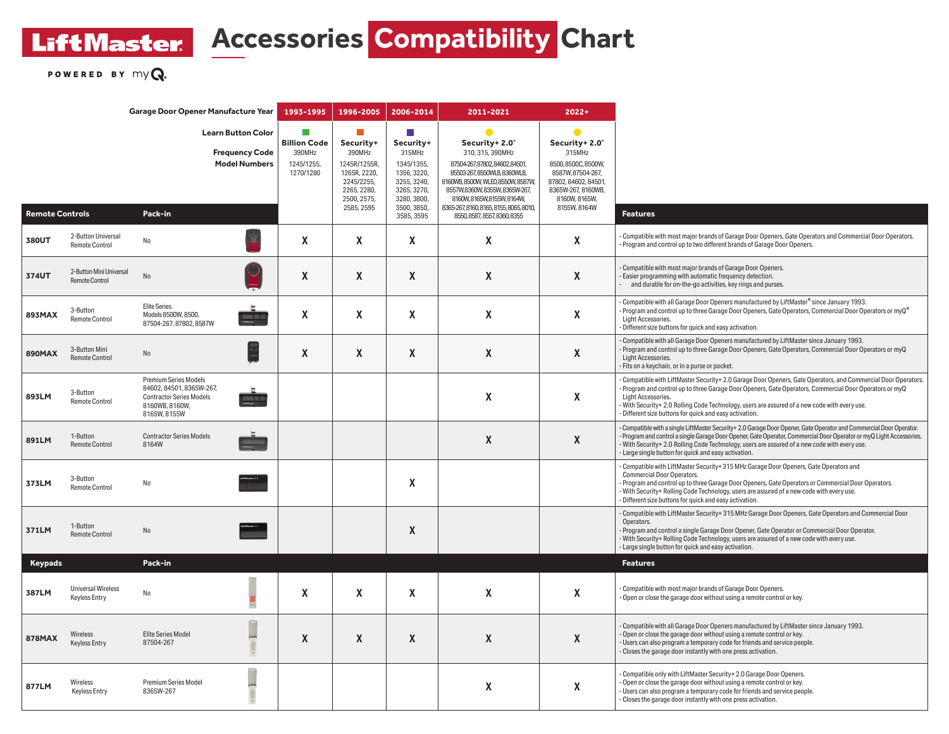## **LiftMaster Accessories Compatibility Chart**

POWERED BY  $myQ$ .

| Garage Door Opener Manufacture Year |                                                   |                                                                                                                               |                                                                            | 1993-1995                                                               | 1996-2005                                                                                                          | 2006-2014                                                                                                                        | 2011-2021                                                                                                                                                                                                                                                                                  | $2022 +$                                                                                                                                                        |                                                                                                                                                                                                                                                                                                                                                                                                           |
|-------------------------------------|---------------------------------------------------|-------------------------------------------------------------------------------------------------------------------------------|----------------------------------------------------------------------------|-------------------------------------------------------------------------|--------------------------------------------------------------------------------------------------------------------|----------------------------------------------------------------------------------------------------------------------------------|--------------------------------------------------------------------------------------------------------------------------------------------------------------------------------------------------------------------------------------------------------------------------------------------|-----------------------------------------------------------------------------------------------------------------------------------------------------------------|-----------------------------------------------------------------------------------------------------------------------------------------------------------------------------------------------------------------------------------------------------------------------------------------------------------------------------------------------------------------------------------------------------------|
| <b>Remote Controls</b>              |                                                   | Pack-in                                                                                                                       | <b>Learn Button Color</b><br><b>Frequency Code</b><br><b>Model Numbers</b> | <b>Tale</b><br><b>Billion Code</b><br>390MHz<br>1245/1255,<br>1270/1280 | П<br>Security+<br>390MHz<br>1245R/1255R,<br>1265R, 2220,<br>2245/2255,<br>2265, 2280,<br>2500, 2575,<br>2585, 2595 | n.<br>Security+<br>315MHz<br>1345/1355,<br>1356, 3220,<br>3255, 3240,<br>3265, 3270,<br>3280, 3800,<br>3500, 3850,<br>3585, 3595 | $\bullet$<br>Security+2.0°<br>310, 315, 390MHz<br>87504-267,87802,84602,84501,<br>85503-267, 8550WLB, 8360WLB,<br>8160WB, 8500W, WLED, 8550W, 8587W,<br>8557W,8360W,8355W,8365W-267,<br>8160W, 8165W, 8155W, 8164W,<br>8365-267, 8160, 8165, 8155, 8065, 8010,<br>8550.8587.8557.8360.8355 | $\bullet$<br>Security+2.0°<br>315MHz<br>8500, 8500C, 8500W,<br>8587W, 87504-267,<br>87802, 84602, 84501,<br>8365W-267, 8160WB,<br>8160W, 8165W,<br>8155W, 8164W | <b>Features</b>                                                                                                                                                                                                                                                                                                                                                                                           |
| 380UT                               | 2-Button Universal<br><b>Remote Control</b>       | No                                                                                                                            |                                                                            | X                                                                       | X                                                                                                                  | X                                                                                                                                | $\boldsymbol{\mathsf{X}}$                                                                                                                                                                                                                                                                  | X                                                                                                                                                               | - Compatible with most major brands of Garage Door Openers, Gate Operators and Commercial Door Operators.<br>- Program and control up to two different brands of Garage Door Openers.                                                                                                                                                                                                                     |
| 374UT                               | 2-Button Mini Universal<br><b>Remote Control</b>  | No                                                                                                                            |                                                                            | X                                                                       | X                                                                                                                  | X                                                                                                                                | $\boldsymbol{X}$                                                                                                                                                                                                                                                                           | X                                                                                                                                                               | - Compatible with most major brands of Garage Door Openers.<br>- Easier programming with automatic frequency detection.<br>and durable for on-the-go activities, key rings and purses.                                                                                                                                                                                                                    |
| 893MAX                              | 3-Button<br><b>Remote Control</b>                 | <b>Elite Series</b><br>Models 8500W, 8500,<br>87504-267.87802.8587W                                                           | <b>100 EM</b>                                                              | X                                                                       | X                                                                                                                  | X                                                                                                                                | $\boldsymbol{\mathsf{X}}$                                                                                                                                                                                                                                                                  | X                                                                                                                                                               | . Compatible with all Garage Door Openers manufactured by LiftMaster® since January 1993.<br>- Program and control up to three Garage Door Openers, Gate Operators, Commercial Door Operators or myQ®<br>Light Accessories.<br>- Different size buttons for quick and easy activation.                                                                                                                    |
| 890MAX                              | 3-Button Mini<br><b>Remote Control</b>            | No                                                                                                                            |                                                                            | X                                                                       | X                                                                                                                  | X                                                                                                                                | X                                                                                                                                                                                                                                                                                          | X                                                                                                                                                               | - Compatible with all Garage Door Openers manufactured by LiftMaster since January 1993.<br>Program and control up to three Garage Door Openers, Gate Operators, Commercial Door Operators or myQ<br>Light Accessories.<br>- Fits on a keychain, or in a purse or pocket.                                                                                                                                 |
| 893LM                               | 3-Button<br>Remote Control                        | <b>Premium Series Models</b><br>84602, 84501, 8365W-267,<br><b>Contractor Series Models</b><br>8160WB, 8160W,<br>8165W, 8155W |                                                                            |                                                                         |                                                                                                                    |                                                                                                                                  | $\boldsymbol{\mathsf{X}}$                                                                                                                                                                                                                                                                  | X                                                                                                                                                               | Compatible with LiftMaster Security+ 2.0 Garage Door Openers, Gate Operators, and Commercial Door Operators.<br>- Program and control up to three Garage Door Openers, Gate Operators, Commercial Door Operators or myQ<br>Light Accessories.<br>- With Security+ 2.0 Rolling Code Technology, users are assured of a new code with every use.<br>- Different size buttons for quick and easy activation. |
| 891LM                               | 1-Button<br><b>Remote Control</b>                 | <b>Contractor Series Models</b><br>8164W                                                                                      |                                                                            |                                                                         |                                                                                                                    |                                                                                                                                  | X                                                                                                                                                                                                                                                                                          | X                                                                                                                                                               | Compatible with a single LiftMaster Security+2.0 Garage Door Opener, Gate Operator and Commercial Door Operator.<br>Program and control a single Garage Door Opener, Gate Operator, Commercial Door Operator or myQ Light Accessories.<br>With Security+ 2.0 Rolling Code Technology, users are assured of a new code with every use.<br>- Large single button for quick and easy activation.             |
| 373LM                               | 3-Button<br><b>Remote Control</b>                 | No                                                                                                                            |                                                                            |                                                                         |                                                                                                                    | X                                                                                                                                |                                                                                                                                                                                                                                                                                            |                                                                                                                                                                 | - Compatible with LiftMaster Security+315 MHz Garage Door Openers, Gate Operators and<br><b>Commercial Door Operators.</b><br>- Program and control up to three Garage Door Openers, Gate Operators or Commercial Door Operators.<br>- With Security+ Rolling Code Technology, users are assured of a new code with every use.<br>- Different size buttons for quick and easy activation.                 |
| 371LM                               | 1-Button<br><b>Remote Control</b>                 | No                                                                                                                            |                                                                            |                                                                         |                                                                                                                    | X                                                                                                                                |                                                                                                                                                                                                                                                                                            |                                                                                                                                                                 | - Compatible with LiftMaster Security+ 315 MHz Garage Door Openers, Gate Operators and Commercial Door<br>Operators.<br>- Program and control a single Garage Door Opener, Gate Operator or Commercial Door Operator.<br>- With Security+ Rolling Code Technology, users are assured of a new code with every use.<br>- Large single button for quick and easy activation.                                |
| Keypads                             |                                                   | Pack-in                                                                                                                       |                                                                            |                                                                         |                                                                                                                    |                                                                                                                                  |                                                                                                                                                                                                                                                                                            |                                                                                                                                                                 | <b>Features</b>                                                                                                                                                                                                                                                                                                                                                                                           |
| 387LM                               | <b>Universal Wireless</b><br><b>Keyless Entry</b> | No                                                                                                                            |                                                                            | X                                                                       | X                                                                                                                  | X                                                                                                                                | $\boldsymbol{\mathsf{X}}$                                                                                                                                                                                                                                                                  | X                                                                                                                                                               | - Compatible with most major brands of Garage Door Openers.<br>Open or close the garage door without using a remote control or key.                                                                                                                                                                                                                                                                       |
| <b>878MAX</b>                       | Wireless<br><b>Keyless Entry</b>                  | <b>Elite Series Model</b><br>87504-267                                                                                        |                                                                            | X                                                                       | X                                                                                                                  | X                                                                                                                                | $\boldsymbol{X}$                                                                                                                                                                                                                                                                           | X                                                                                                                                                               | - Compatible with all Garage Door Openers manufactured by LiftMaster since January 1993.<br>- Open or close the garage door without using a remote control or key.<br>- Users can also program a temporary code for friends and service people.<br>- Closes the garage door instantly with one press activation.                                                                                          |
| 877LM                               | <b>Wireless</b><br><b>Keyless Entry</b>           | <b>Premium Series Model</b><br>8365W-267                                                                                      |                                                                            |                                                                         |                                                                                                                    |                                                                                                                                  | $\boldsymbol{\mathsf{X}}$                                                                                                                                                                                                                                                                  | X                                                                                                                                                               | - Compatible only with LiftMaster Security+ 2.0 Garage Door Openers.<br>- Open or close the garage door without using a remote control or key.<br>- Users can also program a temporary code for friends and service people.<br>- Closes the garage door instantly with one press activation.                                                                                                              |